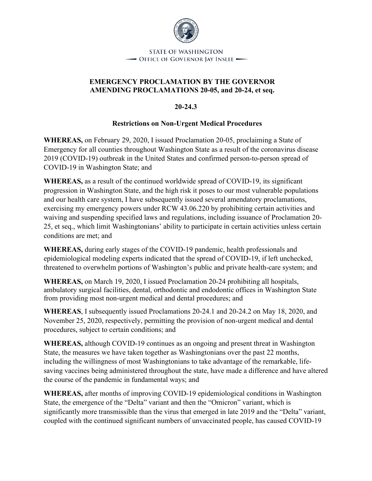

## **EMERGENCY PROCLAMATION BY THE GOVERNOR AMENDING PROCLAMATIONS 20-05, and 20-24, et seq.**

**20-24.3**

## **Restrictions on Non-Urgent Medical Procedures**

**WHEREAS,** on February 29, 2020, I issued Proclamation 20-05, proclaiming a State of Emergency for all counties throughout Washington State as a result of the coronavirus disease 2019 (COVID-19) outbreak in the United States and confirmed person-to-person spread of COVID-19 in Washington State; and

**WHEREAS,** as a result of the continued worldwide spread of COVID-19, its significant progression in Washington State, and the high risk it poses to our most vulnerable populations and our health care system, I have subsequently issued several amendatory proclamations, exercising my emergency powers under RCW 43.06.220 by prohibiting certain activities and waiving and suspending specified laws and regulations, including issuance of Proclamation 20- 25, et seq., which limit Washingtonians' ability to participate in certain activities unless certain conditions are met; and

**WHEREAS,** during early stages of the COVID-19 pandemic, health professionals and epidemiological modeling experts indicated that the spread of COVID-19, if left unchecked, threatened to overwhelm portions of Washington's public and private health-care system; and

**WHEREAS,** on March 19, 2020, I issued Proclamation 20-24 prohibiting all hospitals, ambulatory surgical facilities, dental, orthodontic and endodontic offices in Washington State from providing most non-urgent medical and dental procedures; and

**WHEREAS**, I subsequently issued Proclamations 20-24.1 and 20-24.2 on May 18, 2020, and November 25, 2020, respectively, permitting the provision of non-urgent medical and dental procedures, subject to certain conditions; and

**WHEREAS,** although COVID-19 continues as an ongoing and present threat in Washington State, the measures we have taken together as Washingtonians over the past 22 months, including the willingness of most Washingtonians to take advantage of the remarkable, lifesaving vaccines being administered throughout the state, have made a difference and have altered the course of the pandemic in fundamental ways; and

**WHEREAS,** after months of improving COVID-19 epidemiological conditions in Washington State, the emergence of the "Delta" variant and then the "Omicron" variant, which is significantly more transmissible than the virus that emerged in late 2019 and the "Delta" variant, coupled with the continued significant numbers of unvaccinated people, has caused COVID-19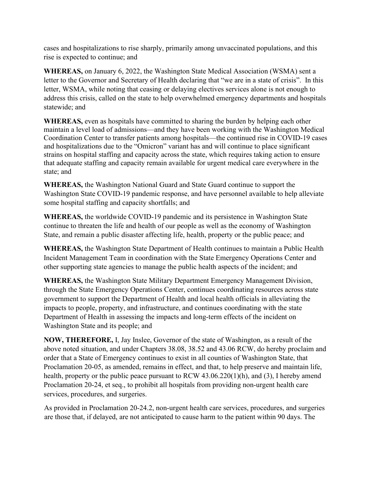cases and hospitalizations to rise sharply, primarily among unvaccinated populations, and this rise is expected to continue; and

**WHEREAS,** on January 6, 2022, the Washington State Medical Association (WSMA) sent a letter to the Governor and Secretary of Health declaring that "we are in a state of crisis". In this letter, WSMA, while noting that ceasing or delaying electives services alone is not enough to address this crisis, called on the state to help overwhelmed emergency departments and hospitals statewide; and

**WHEREAS,** even as hospitals have committed to sharing the burden by helping each other maintain a level load of admissions—and they have been working with the Washington Medical Coordination Center to transfer patients among hospitals—the continued rise in COVID-19 cases and hospitalizations due to the "Omicron" variant has and will continue to place significant strains on hospital staffing and capacity across the state, which requires taking action to ensure that adequate staffing and capacity remain available for urgent medical care everywhere in the state; and

**WHEREAS,** the Washington National Guard and State Guard continue to support the Washington State COVID-19 pandemic response, and have personnel available to help alleviate some hospital staffing and capacity shortfalls; and

**WHEREAS,** the worldwide COVID-19 pandemic and its persistence in Washington State continue to threaten the life and health of our people as well as the economy of Washington State, and remain a public disaster affecting life, health, property or the public peace; and

**WHEREAS,** the Washington State Department of Health continues to maintain a Public Health Incident Management Team in coordination with the State Emergency Operations Center and other supporting state agencies to manage the public health aspects of the incident; and

**WHEREAS,** the Washington State Military Department Emergency Management Division, through the State Emergency Operations Center, continues coordinating resources across state government to support the Department of Health and local health officials in alleviating the impacts to people, property, and infrastructure, and continues coordinating with the state Department of Health in assessing the impacts and long-term effects of the incident on Washington State and its people; and

**NOW, THEREFORE,** I, Jay Inslee, Governor of the state of Washington, as a result of the above noted situation, and under Chapters 38.08, 38.52 and 43.06 RCW, do hereby proclaim and order that a State of Emergency continues to exist in all counties of Washington State, that Proclamation 20-05, as amended, remains in effect, and that, to help preserve and maintain life, health, property or the public peace pursuant to RCW 43.06.220(1)(h), and (3), I hereby amend Proclamation 20-24, et seq., to prohibit all hospitals from providing non-urgent health care services, procedures, and surgeries.

As provided in Proclamation 20-24.2, non-urgent health care services, procedures, and surgeries are those that, if delayed, are not anticipated to cause harm to the patient within 90 days. The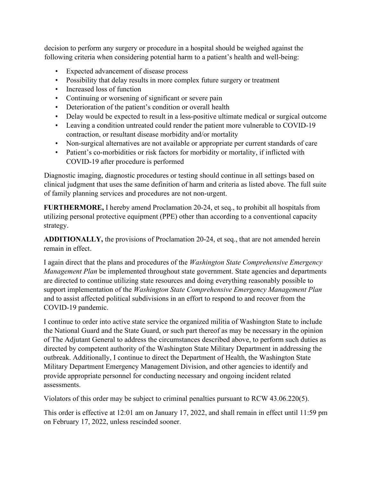decision to perform any surgery or procedure in a hospital should be weighed against the following criteria when considering potential harm to a patient's health and well-being:

- Expected advancement of disease process
- Possibility that delay results in more complex future surgery or treatment
- Increased loss of function
- Continuing or worsening of significant or severe pain
- Deterioration of the patient's condition or overall health
- Delay would be expected to result in a less-positive ultimate medical or surgical outcome
- Leaving a condition untreated could render the patient more vulnerable to COVID-19 contraction, or resultant disease morbidity and/or mortality
- Non-surgical alternatives are not available or appropriate per current standards of care
- Patient's co-morbidities or risk factors for morbidity or mortality, if inflicted with COVID-19 after procedure is performed

Diagnostic imaging, diagnostic procedures or testing should continue in all settings based on clinical judgment that uses the same definition of harm and criteria as listed above. The full suite of family planning services and procedures are not non-urgent.

**FURTHERMORE,** I hereby amend Proclamation 20-24, et seq., to prohibit all hospitals from utilizing personal protective equipment (PPE) other than according to a conventional capacity strategy.

**ADDITIONALLY,** the provisions of Proclamation 20-24, et seq., that are not amended herein remain in effect.

I again direct that the plans and procedures of the *Washington State Comprehensive Emergency Management Plan* be implemented throughout state government. State agencies and departments are directed to continue utilizing state resources and doing everything reasonably possible to support implementation of the *Washington State Comprehensive Emergency Management Plan* and to assist affected political subdivisions in an effort to respond to and recover from the COVID-19 pandemic.

I continue to order into active state service the organized militia of Washington State to include the National Guard and the State Guard, or such part thereof as may be necessary in the opinion of The Adjutant General to address the circumstances described above, to perform such duties as directed by competent authority of the Washington State Military Department in addressing the outbreak. Additionally, I continue to direct the Department of Health, the Washington State Military Department Emergency Management Division, and other agencies to identify and provide appropriate personnel for conducting necessary and ongoing incident related assessments.

Violators of this order may be subject to criminal penalties pursuant to RCW 43.06.220(5).

This order is effective at 12:01 am on January 17, 2022, and shall remain in effect until 11:59 pm on February 17, 2022, unless rescinded sooner.